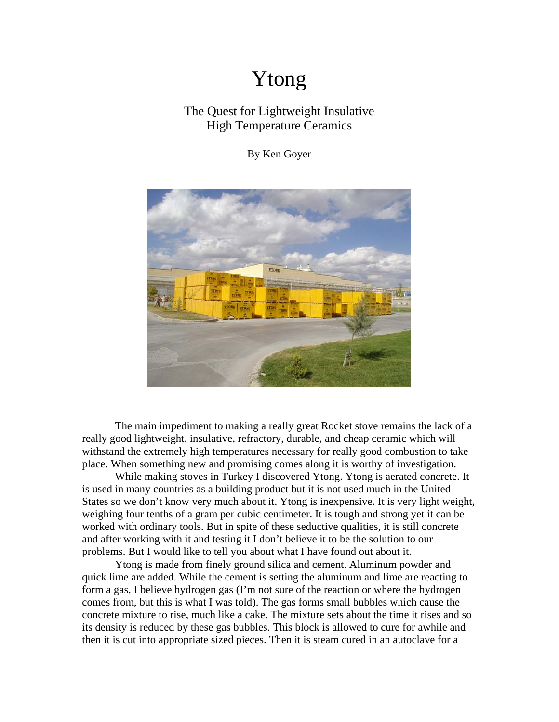## Ytong

## The Quest for Lightweight Insulative High Temperature Ceramics

By Ken Goyer



The main impediment to making a really great Rocket stove remains the lack of a really good lightweight, insulative, refractory, durable, and cheap ceramic which will withstand the extremely high temperatures necessary for really good combustion to take place. When something new and promising comes along it is worthy of investigation.

 While making stoves in Turkey I discovered Ytong. Ytong is aerated concrete. It is used in many countries as a building product but it is not used much in the United States so we don't know very much about it. Ytong is inexpensive. It is very light weight, weighing four tenths of a gram per cubic centimeter. It is tough and strong yet it can be worked with ordinary tools. But in spite of these seductive qualities, it is still concrete and after working with it and testing it I don't believe it to be the solution to our problems. But I would like to tell you about what I have found out about it.

 Ytong is made from finely ground silica and cement. Aluminum powder and quick lime are added. While the cement is setting the aluminum and lime are reacting to form a gas, I believe hydrogen gas (I'm not sure of the reaction or where the hydrogen comes from, but this is what I was told). The gas forms small bubbles which cause the concrete mixture to rise, much like a cake. The mixture sets about the time it rises and so its density is reduced by these gas bubbles. This block is allowed to cure for awhile and then it is cut into appropriate sized pieces. Then it is steam cured in an autoclave for a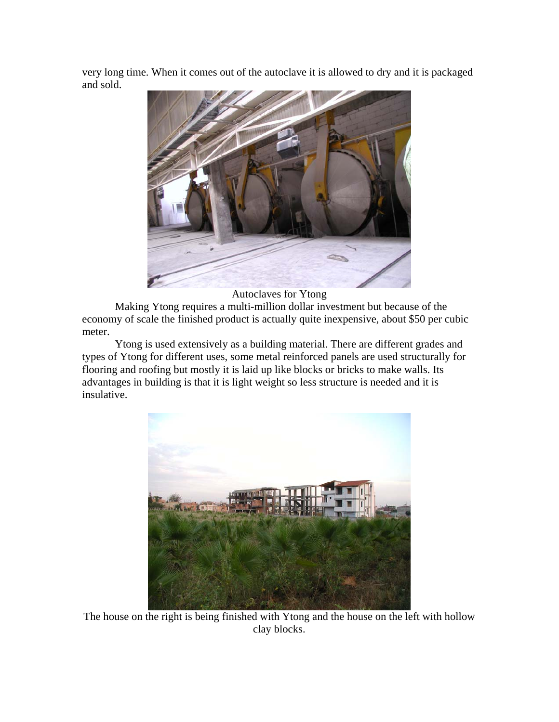very long time. When it comes out of the autoclave it is allowed to dry and it is packaged and sold.



Autoclaves for Ytong

 Making Ytong requires a multi-million dollar investment but because of the economy of scale the finished product is actually quite inexpensive, about \$50 per cubic meter.

 Ytong is used extensively as a building material. There are different grades and types of Ytong for different uses, some metal reinforced panels are used structurally for flooring and roofing but mostly it is laid up like blocks or bricks to make walls. Its advantages in building is that it is light weight so less structure is needed and it is insulative.



The house on the right is being finished with Ytong and the house on the left with hollow clay blocks.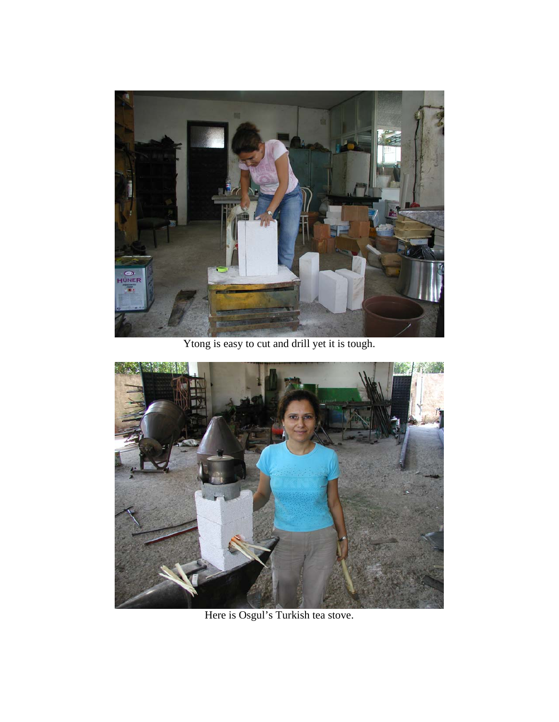

Ytong is easy to cut and drill yet it is tough.



Here is Osgul's Turkish tea stove.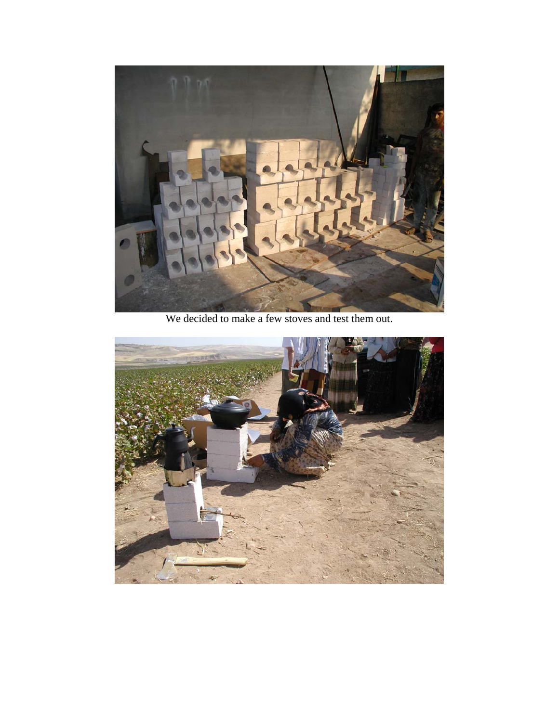

We decided to make a few stoves and test them out.

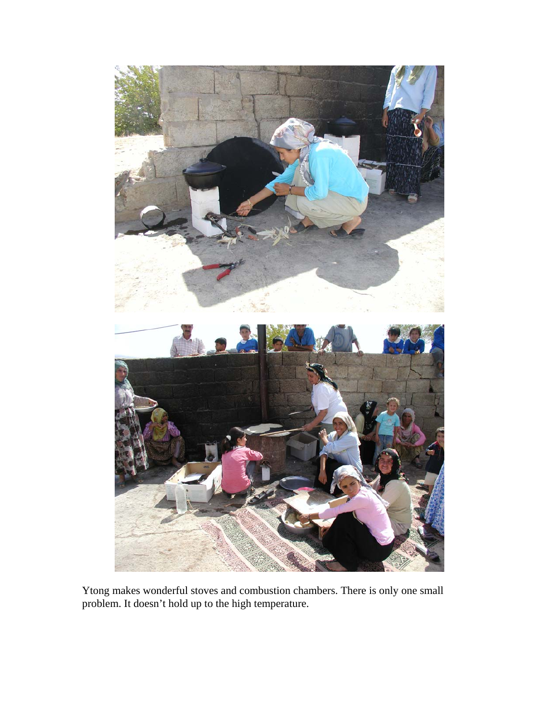

Ytong makes wonderful stoves and combustion chambers. There is only one small problem. It doesn't hold up to the high temperature.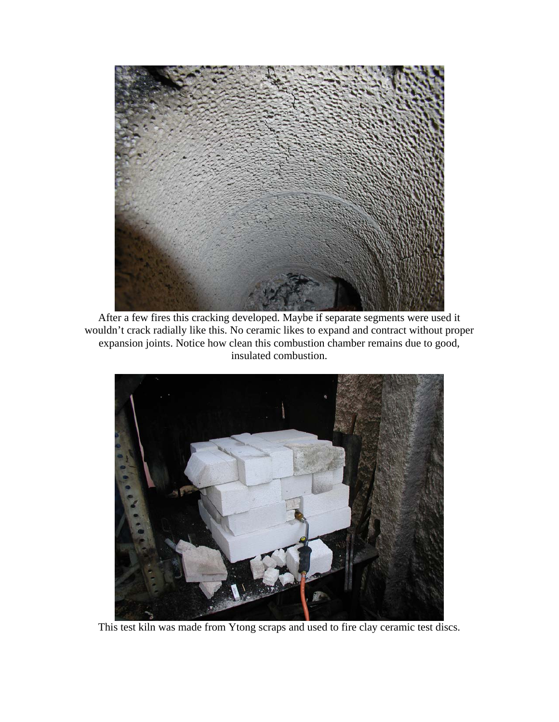

After a few fires this cracking developed. Maybe if separate segments were used it wouldn't crack radially like this. No ceramic likes to expand and contract without proper expansion joints. Notice how clean this combustion chamber remains due to good, insulated combustion.



This test kiln was made from Ytong scraps and used to fire clay ceramic test discs.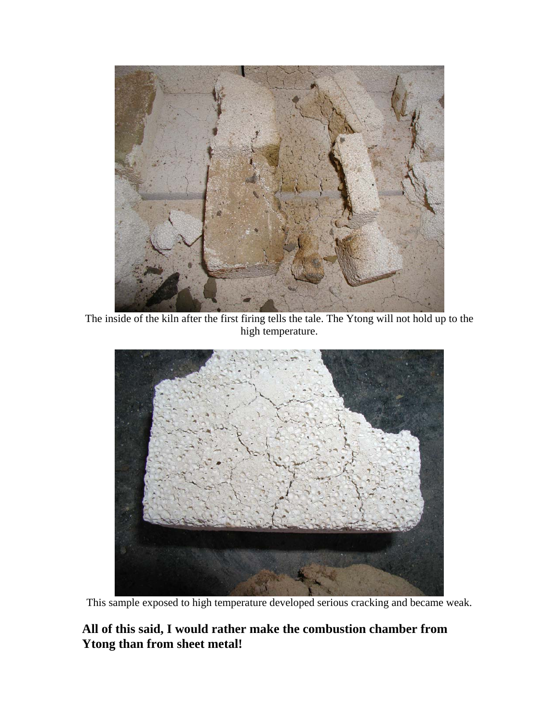

The inside of the kiln after the first firing tells the tale. The Ytong will not hold up to the high temperature.



This sample exposed to high temperature developed serious cracking and became weak.

## **All of this said, I would rather make the combustion chamber from Ytong than from sheet metal!**